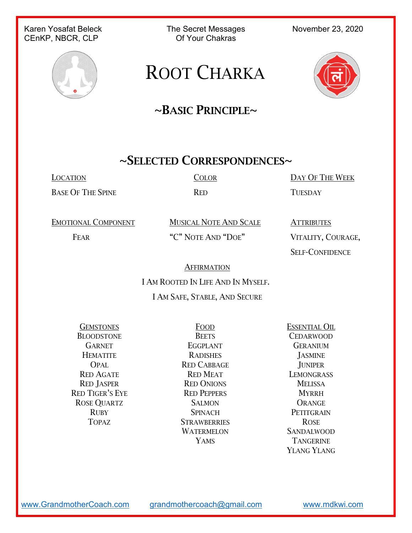#### Karen Yosafat Beleck The Secret Messages November 23, 2020<br>CEnKP NBCR CLP CERT Of Your Chakras CEnKP, NBCR, CLP



## ROOT CHARKA

## $\sim$ BASIC PRINCIPLE $\sim$

#### ~SELECTED CORRESPONDENCES~

BASE OF THE SPINE RED RED TUESDAY

LOCATION COLOR DAY OF THE WEEK

EMOTIONAL COMPONENT MUSICAL NOTE AND SCALE ATTRIBUTES

FEAR "C" NOTE AND "DOE" VITALITY, COURAGE,

SELF-CONFIDENCE

**AFFIRMATION** 

I AM ROOTED IN LIFE AND IN MYSELF.

#### I AM SAFE, STABLE, AND SECURE

GEMSTONES FOOD ESSENTIAL OIL BLOODSTONE BEETS CEDARWOOD RED TIGER'S EYE RED PEPPERS MYRRH ROSE QUARTZ SALMON SALMON ORANGE

GARNET EGGPLANT GERANIUM HEMATITE RADISHES JASMINE OPAL RED CABBAGE JUNIPER RED AGATE RED MEAT LEMONGRASS RED JASPER RED ONIONS MELISSA RUBY SPINACH PETITGRAIN TOPAZ STRAWBERRIES ROSE WATERMELON SANDALWOOD

YAMS TANGERINE YLANG YLANG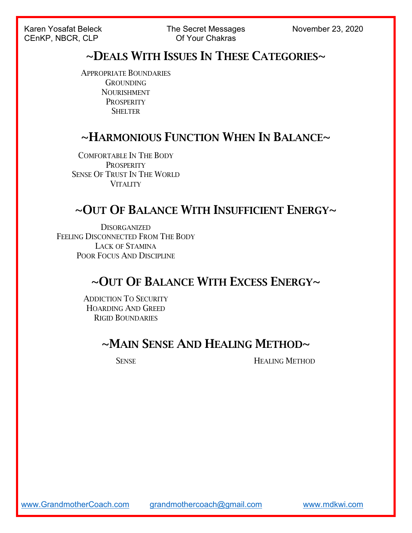Karen Yosafat Beleck The Secret Messages November 23, 2020 CENKP, NBCR, CLP **CENCE,** CLP **CENCE,** CLP **CENCE,** CLP **CENCE,** CLP **CENCE,** CLP **CENCE,** CLP **CENCE,** CLP **CENCE,** CLP **CENCE,** CLP **CENCE,** CLP **CENCE,** CLP **CENCE,** CLP **CENCE,** CLP **CENCE,** CLP **CENCE,** CLP **CENCE,** C

#### ~DEALS WITH ISSUES IN THESE CATEGORIES~

APPROPRIATE BOUNDARIES **GROUNDING** NOURISHMENT **PROSPERITY SHELTER** 

#### ~HARMONIOUS FUNCTION WHEN IN BALANCE~

COMFORTABLE IN THE BODY **PROSPERITY** SENSE OF TRUST IN THE WORLD **VITALITY** 

#### $\sim$ OUT OF BALANCE WITH INSUFFICIENT ENERGY $\sim$

**DISORGANIZED** FEELING DISCONNECTED FROM THE BODY LACK OF STAMINA POOR FOCUS AND DISCIPLINE

#### ~OUT OF BALANCE WITH EXCESS ENERGY~

ADDICTION TO SECURITY HOARDING AND GREED RIGID BOUNDARIES

#### ~MAIN SENSE AND HEALING METHOD~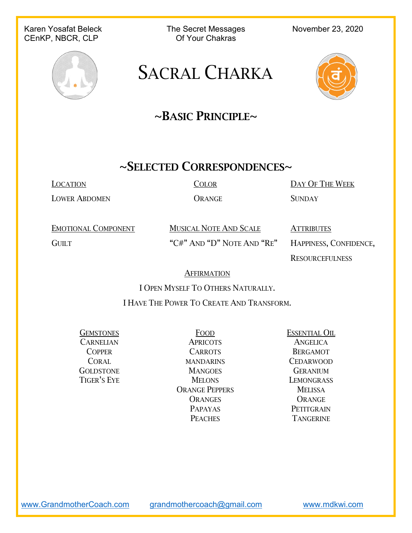#### Karen Yosafat Beleck The Secret Messages November 23, 2020<br>CEnKP NBCR CLP CLER COF Your Chakras CEnKP, NBCR, CLP



## SACRAL CHARKA



## $\sim$ BASIC PRINCIPLE $\sim$

#### ~SELECTED CORRESPONDENCES~

LOWER ABDOMEN ORANGE SUNDAY

LOCATION COLOR DAY OF THE WEEK

EMOTIONAL COMPONENT MUSICAL NOTE AND SCALE ATTRIBUTES GUILT "C#" AND "D" NOTE AND "RE" HAPPINESS, CONFIDENCE,

**RESOURCEFULNESS** 

#### **AFFIRMATION**

I OPEN MYSELF TO OTHERS NATURALLY.

I HAVE THE POWER TO CREATE AND TRANSFORM.

CARNELIAN APRICOTS ANGELICA COPPER CARROTS BERGAMOT CORAL MANDARINS CEDARWOOD GOLDSTONE MANGOES GERANIUM TIGER'S EYE MELONS LEMONGRASS ORANGE PEPPERS MELISSA ORANGES ORANGE PAPAYAS PETITGRAIN PEACHES TANGERINE

GEMSTONES FOOD ESSENTIAL OIL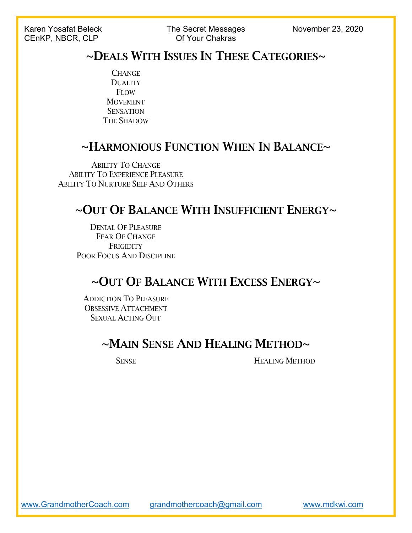#### ~DEALS WITH ISSUES IN THESE CATEGORIES~

**CHANGE DUALITY FLOW** MOVEMENT **SENSATION** THE SHADOW

### ~HARMONIOUS FUNCTION WHEN IN BALANCE~

ABILITY TO CHANGE ABILITY TO EXPERIENCE PLEASURE ABILITY TO NURTURE SELF AND OTHERS

#### ~OUT OF BALANCE WITH INSUFFICIENT ENERGY~

DENIAL OF PLEASURE FEAR OF CHANGE **FRIGIDITY** POOR FOCUS AND DISCIPLINE

#### ~OUT OF BALANCE WITH EXCESS ENERGY~

ADDICTION TO PLEASURE OBSESSIVE ATTACHMENT SEXUAL ACTING OUT

#### ~MAIN SENSE AND HEALING METHOD~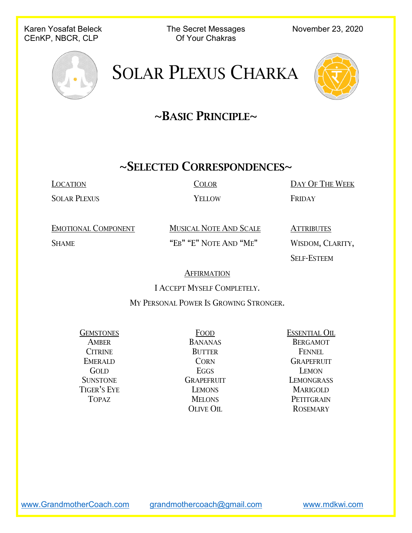Karen Yosafat Beleck The Secret Messages November 23, 2020<br>CEnKP NBCR CLP CLOS Of Your Chakras CEnKP, NBCR, CLP



# SOLAR PLEXUS CHARKA



## $\sim$ BASIC PRINCIPLE $\sim$

## ~SELECTED CORRESPONDENCES~

SOLAR PLEXUS YELLOW FRIDAY

LOCATION COLOR DAY OF THE WEEK

EMOTIONAL COMPONENT MUSICAL NOTE AND SCALE ATTRIBUTES SHAME "EB" "E" NOTE AND "ME" WISDOM, CLARITY,

SELF-ESTEEM

#### **AFFIRMATION**

I ACCEPT MYSELF COMPLETELY.

MY PERSONAL POWER IS GROWING STRONGER.

AMBER BANANAS BERGAMOT CITRINE BUTTER FENNEL GOLD EGGS LEMON TIGER'S EYE LEMONS MARIGOLD TOPAZ MELONS PETITGRAIN

GEMSTONES FOOD ESSENTIAL OIL EMERALD CORN GRAPEFRUIT SUNSTONE GRAPEFRUIT LEMONGRASS OLIVE OIL ROSEMARY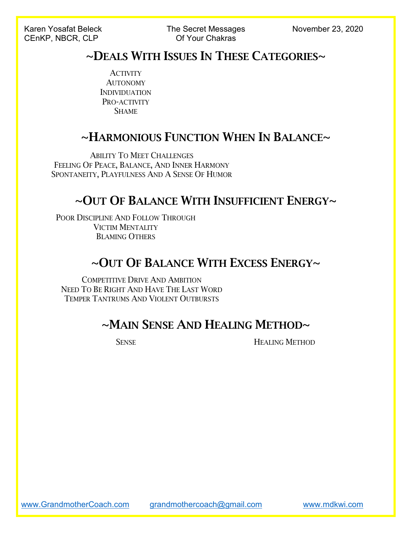#### ~DEALS WITH ISSUES IN THESE CATEGORIES~

**ACTIVITY** AUTONOMY INDIVIDUATION PRO-ACTIVITY **SHAME** 

#### ~HARMONIOUS FUNCTION WHEN IN BALANCE~

ABILITY TO MEET CHALLENGES FEELING OF PEACE, BALANCE, AND INNER HARMONY SPONTANEITY, PLAYFULNESS AND A SENSE OF HUMOR

#### ~OUT OF BALANCE WITH INSUFFICIENT ENERGY~

POOR DISCIPLINE AND FOLLOW THROUGH VICTIM MENTALITY BLAMING OTHERS

### ~OUT OF BALANCE WITH EXCESS ENERGY~

COMPETITIVE DRIVE AND AMBITION NEED TO BE RIGHT AND HAVE THE LAST WORD TEMPER TANTRUMS AND VIOLENT OUTBURSTS

### $\sim$ Main Sense And Healing Method $\sim$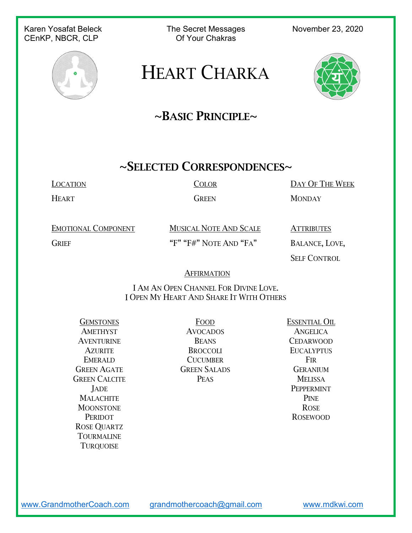#### Karen Yosafat Beleck The Secret Messages November 23, 2020<br>CEnKP NBCR CLP CENCER Of Your Chakras CEnKP, NBCR, CLP



## HEART CHARKA



### $\sim$ BASIC PRINCIPLE $\sim$

## ~SELECTED CORRESPONDENCES~

LOCATION COLOR DAY OF THE WEEK

HEART GREEN MONDAY

EMOTIONAL COMPONENT MUSICAL NOTE AND SCALE ATTRIBUTES GRIEF "F" "F#" NOTE AND "FA" BALANCE, LOVE,

SELF CONTROL

#### **AFFIRMATION**

I AM AN OPEN CHANNEL FOR DIVINE LOVE. I OPEN MY HEART AND SHARE IT WITH OTHERS

GREEN CALCITE PEAS PEAS MELISSA MALACHITE PINE MOONSTONE ROSE PERIDOT ROSEWOOD ROSE QUARTZ TOURMALINE **TURQUOISE** 

AMETHYST AVOCADOS ANGELICA AVENTURINE BEANS CEDARWOOD AZURITE BROCCOLI EUCALYPTUS EMERALD CUCUMBER FIR GREEN AGATE **GREEN SALADS** GERANIUM

GEMSTONES FOOD ESSENTIAL OIL JADE PEPPERMINT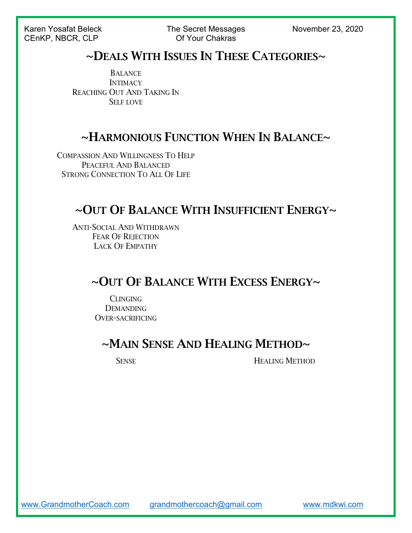Karen Yosafat Beleck The Secret Messages November 23, 2020 CEnKP, NBCR, CLP Of Your Chakras

#### ~DEALS WITH ISSUES IN THESE CATEGORIES~

**BALANCE INTIMACY** REACHING OUT AND TAKING IN SELF LOVE

#### ~HARMONIOUS FUNCTION WHEN IN BALANCE~

COMPASSION AND WILLINGNESS TO HELP PEACEFUL AND BALANCED STRONG CONNECTION TO ALL OF LIFE

## ~OUT OF BALANCE WITH INSUFFICIENT ENERGY~

ANTI-SOCIAL AND WITHDRAWN FEAR OF REJECTION LACK OF EMPATHY

#### ~OUT OF BALANCE WITH EXCESS ENERGY~

CLINGING **DEMANDING** OVER-SACRIFICING

#### ~MAIN SENSE AND HEALING METHOD~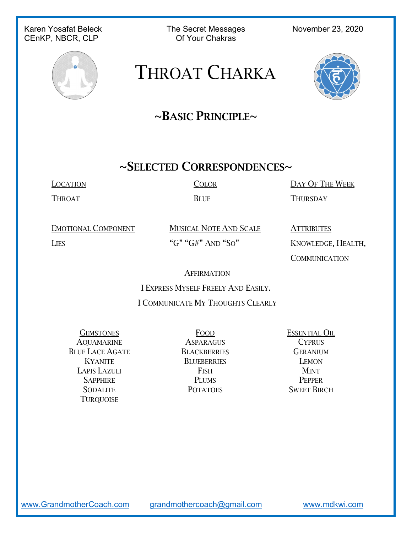## CEnKP, NBCR, CLP

Karen Yosafat Beleck The Secret Messages November 23, 2020<br>CEnKP NBCR CLP CENCER Of Your Chakras



# THROAT CHARKA



## $\sim$ BASIC PRINCIPLE $\sim$

#### ~SELECTED CORRESPONDENCES~

THROAT BLUE THURSDAY

LOCATION COLOR DAY OF THE WEEK

EMOTIONAL COMPONENT MUSICAL NOTE AND SCALE ATTRIBUTES LIES "G" "G#" AND "SO" KNOWLEDGE, HEALTH,

**COMMUNICATION** 

**AFFIRMATION** 

I EXPRESS MYSELF FREELY AND EASILY.

#### I COMMUNICATE MY THOUGHTS CLEARLY

GEMSTONES FOOD ESSENTIAL OIL AQUAMARINE ASPARAGUS CYPRUS BLUE LACE AGATE BLACKBERRIES GERANIUM LAPIS LAZULI FISH MINT **TURQUOISE** 

KYANITE BLUEBERRIES LEMON SAPPHIRE PLUMS PEPPER SODALITE POTATOES SWEET BIRCH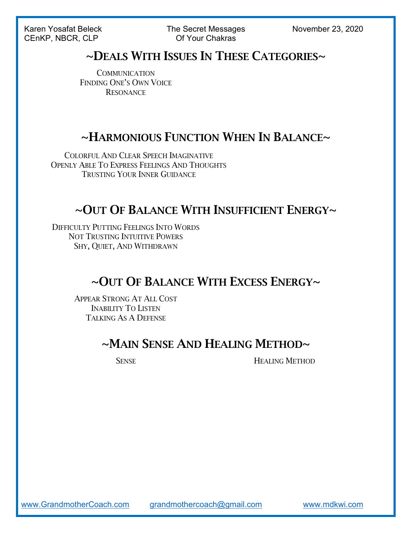Karen Yosafat Beleck The Secret Messages November 23, 2020 CEnKP, NBCR, CLP Of Your Chakras

#### ~DEALS WITH ISSUES IN THESE CATEGORIES~

**COMMUNICATION** FINDING ONE'S OWN VOICE **RESONANCE** 

#### ~HARMONIOUS FUNCTION WHEN IN BALANCE~

COLORFUL AND CLEAR SPEECH IMAGINATIVE OPENLY ABLE TO EXPRESS FEELINGS AND THOUGHTS TRUSTING YOUR INNER GUIDANCE

#### ~OUT OF BALANCE WITH INSUFFICIENT ENERGY~

DIFFICULTY PUTTING FEELINGS INTO WORDS NOT TRUSTING INTUITIVE POWERS SHY, QUIET, AND WITHDRAWN

#### ~OUT OF BALANCE WITH EXCESS ENERGY~

APPEAR STRONG AT ALL COST INABILITY TO LISTEN TALKING AS A DEFENSE

#### ~MAIN SENSE AND HEALING METHOD~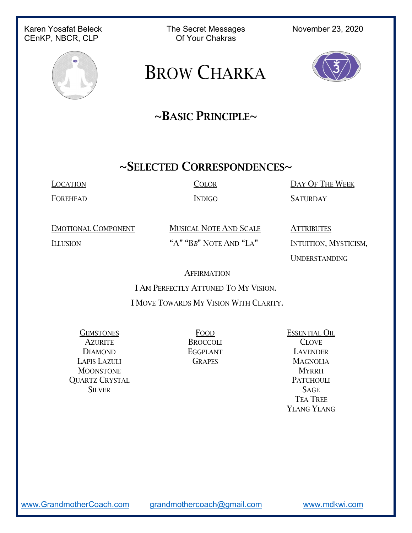## CEnKP, NBCR, CLP

Karen Yosafat Beleck The Secret Messages November 23, 2020<br>CEnKP NBCR CLP CENCER Of Your Chakras



## BROW CHARKA



### $\sim$ BASIC PRINCIPLE $\sim$

#### ~SELECTED CORRESPONDENCES~

LOCATION COLOR DAY OF THE WEEK

FOREHEAD INDIGO SATURDAY

EMOTIONAL COMPONENT MUSICAL NOTE AND SCALE ATTRIBUTES

ILLUSION "A" "BB" NOTE AND "LA" INTUITION, MYSTICISM,

UNDERSTANDING

#### **AFFIRMATION**

I AM PERFECTLY ATTUNED TO MY VISION.

I MOVE TOWARDS MY VISION WITH CLARITY.

AZURITE BROCCOLI CLOVE DIAMOND EGGPLANT LAVENDER LAPIS LAZULI GRAPES MAGNOLIA MOONSTONE MYRRH OUARTZ CRYSTAL PATCHOULI SILVER SAGE

GEMSTONES FOOD ESSENTIAL OIL TEA TREE YLANG YLANG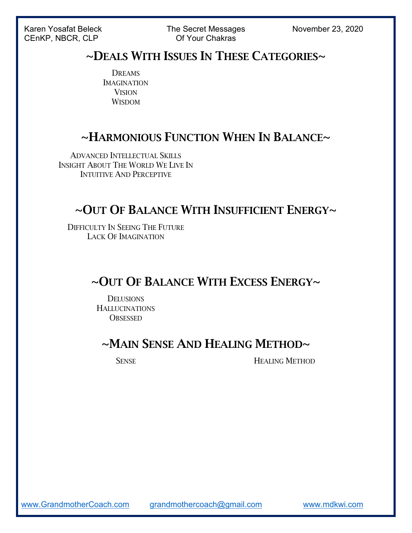Karen Yosafat Beleck The Secret Messages November 23, 2020 CENKP, NBCR, CLP **CENCR** Of Your Chakras

#### ~DEALS WITH ISSUES IN THESE CATEGORIES~

DREAMS IMAGINATION **VISION WISDOM** 

#### ~HARMONIOUS FUNCTION WHEN IN BALANCE~

ADVANCED INTELLECTUAL SKILLS INSIGHT ABOUT THE WORLD WE LIVE IN INTUITIVE AND PERCEPTIVE

#### ~OUT OF BALANCE WITH INSUFFICIENT ENERGY~

DIFFICULTY IN SEEING THE FUTURE LACK OF IMAGINATION

#### ~OUT OF BALANCE WITH EXCESS ENERGY~

**DELUSIONS HALLUCINATIONS OBSESSED** 

#### ~MAIN SENSE AND HEALING METHOD~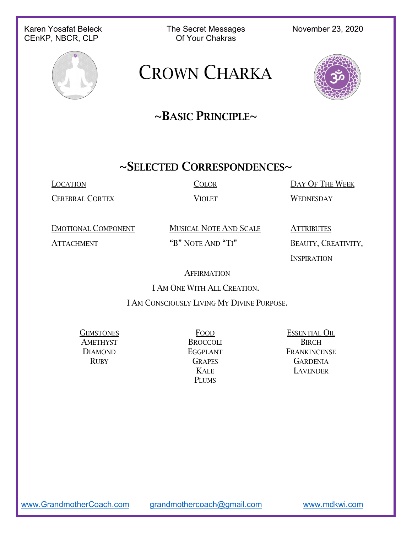#### Karen Yosafat Beleck The Secret Messages November 23, 2020<br>CEnKP NBCR CLP CENCER Of Your Chakras CEnKP, NBCR, CLP



## CROWN CHARKA



### $\sim$ BASIC PRINCIPLE $\sim$

#### ~SELECTED CORRESPONDENCES~

CEREBRAL CORTEX VIOLET WEDNESDAY

LOCATION COLOR DAY OF THE WEEK

EMOTIONAL COMPONENT MUSICAL NOTE AND SCALE ATTRIBUTES

ATTACHMENT "B" NOTE AND "TI" BEAUTY, CREATIVITY,

**INSPIRATION** 

#### **AFFIRMATION**

I AM ONE WITH ALL CREATION.

I AM CONSCIOUSLY LIVING MY DIVINE PURPOSE.

AMETHYST BROCCOLI BIRCH

PLUMS

GEMSTONES FOOD ESSENTIAL OIL DIAMOND **EGGPLANT** FRANKINCENSE RUBY GRAPES GARDENIA KALE LAVENDER